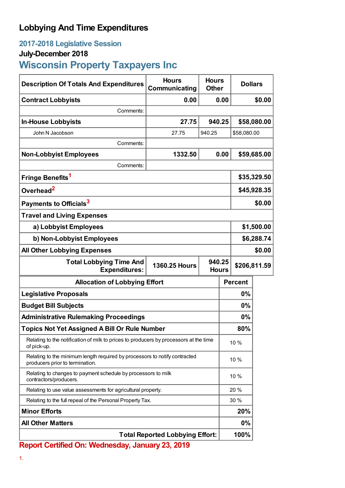## **Lobbying And Time Expenditures**

### **2017-2018 Legislative Session**

### **July-December 2018**

# **Wisconsin Property Taxpayers Inc**

| <b>Description Of Totals And Expenditures</b>                                                                 | <b>Hours</b><br>Communicating | <b>Hours</b><br><b>Dollars</b><br><b>Other</b> |             |                |             |
|---------------------------------------------------------------------------------------------------------------|-------------------------------|------------------------------------------------|-------------|----------------|-------------|
| <b>Contract Lobbyists</b>                                                                                     | 0.00                          | 0.00                                           |             | \$0.00         |             |
| Comments:                                                                                                     |                               |                                                |             |                |             |
| <b>In-House Lobbyists</b>                                                                                     | 27.75                         | 940.25                                         |             | \$58,080.00    |             |
| John N Jacobson                                                                                               | 27.75                         | 940.25                                         |             | \$58,080.00    |             |
| Comments:                                                                                                     |                               |                                                |             |                |             |
| <b>Non-Lobbyist Employees</b>                                                                                 | 1332.50                       |                                                | 0.00        |                | \$59,685.00 |
| Comments:                                                                                                     |                               |                                                |             |                |             |
| Fringe Benefits <sup>1</sup>                                                                                  |                               |                                                | \$35,329.50 |                |             |
| Overhead <sup>2</sup>                                                                                         |                               |                                                | \$45,928.35 |                |             |
| Payments to Officials <sup>3</sup>                                                                            |                               |                                                |             | \$0.00         |             |
| <b>Travel and Living Expenses</b>                                                                             |                               |                                                |             |                |             |
| a) Lobbyist Employees                                                                                         |                               |                                                |             | \$1,500.00     |             |
| b) Non-Lobbyist Employees                                                                                     |                               |                                                |             | \$6,288.74     |             |
| <b>All Other Lobbying Expenses</b>                                                                            |                               |                                                |             |                | \$0.00      |
| 940.25<br><b>Total Lobbying Time And</b><br><b>1360.25 Hours</b><br><b>Expenditures:</b><br><b>Hours</b>      |                               |                                                |             | \$206,811.59   |             |
| <b>Allocation of Lobbying Effort</b>                                                                          |                               |                                                |             | <b>Percent</b> |             |
| <b>Legislative Proposals</b>                                                                                  |                               |                                                | 0%          |                |             |
| <b>Budget Bill Subjects</b>                                                                                   |                               |                                                | 0%          |                |             |
| <b>Administrative Rulemaking Proceedings</b>                                                                  |                               |                                                |             | 0%             |             |
| <b>Topics Not Yet Assigned A Bill Or Rule Number</b>                                                          |                               |                                                |             | 80%            |             |
| Relating to the notification of milk to prices to producers by processors at the time<br>of pick-up.          |                               |                                                | 10 %        |                |             |
| Relating to the minimum length required by processors to notify contracted<br>producers prior to termination. |                               |                                                | 10 %        |                |             |
| Relating to changes to payment schedule by processors to milk<br>contractors/producers.                       |                               |                                                | 10 %        |                |             |
| Relating to use value assessments for agricultural property.                                                  |                               |                                                | 20 %        |                |             |
| Relating to the full repeal of the Personal Property Tax.                                                     |                               |                                                | 30 %        |                |             |
| <b>Minor Efforts</b>                                                                                          |                               | 20%                                            |             |                |             |
| <b>All Other Matters</b>                                                                                      |                               | $0\%$                                          |             |                |             |
| <b>Total Reported Lobbying Effort:</b>                                                                        |                               |                                                |             | 100%           |             |

**Report Certified On: Wednesday, January 23, 2019**